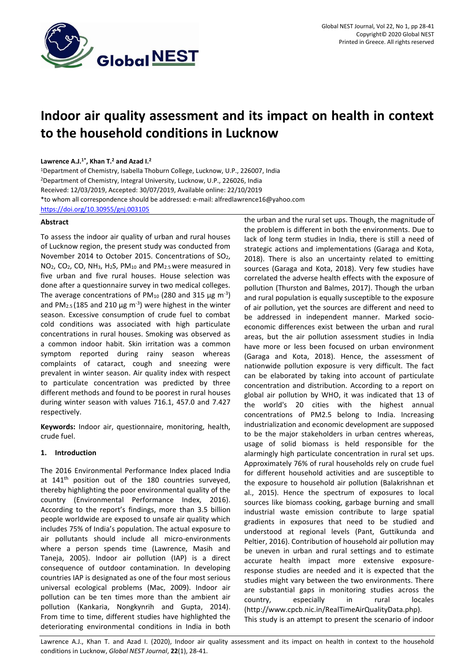

# **Indoor air quality assessment and its impact on health in context to the household conditions in Lucknow**

# **Lawrence A.J.1\* , Khan T. <sup>2</sup> and Azad I. 2**

<sup>1</sup>Department of Chemistry, Isabella Thoburn College, Lucknow, U.P., 226007, India <sup>2</sup>Department of Chemistry, Integral University, Lucknow, U.P., 226026, India Received: 12/03/2019, Accepted: 30/07/2019, Available online: 22/10/2019 \*to whom all correspondence should be addressed: e-mail: alfredlawrence16@yahoo.com <https://doi.org/10.30955/gnj.003105>

# **Abstract**

To assess the indoor air quality of urban and rural houses of Lucknow region, the present study was conducted from November 2014 to October 2015. Concentrations of SO2, NO<sub>2</sub>, CO<sub>2</sub>, CO, NH<sub>3</sub>, H<sub>2</sub>S, PM<sub>10</sub> and PM<sub>2.5</sub> were measured in five urban and five rural houses. House selection was done after a questionnaire survey in two medical colleges. The average concentrations of PM<sub>10</sub> (280 and 315  $\mu$ g m<sup>-3</sup>) and PM<sub>2.5</sub> (185 and 210  $\mu$ g m<sup>-3</sup>) were highest in the winter season. Excessive consumption of crude fuel to combat cold conditions was associated with high particulate concentrations in rural houses. Smoking was observed as a common indoor habit. Skin irritation was a common symptom reported during rainy season whereas complaints of cataract, cough and sneezing were prevalent in winter season. Air quality index with respect to particulate concentration was predicted by three different methods and found to be poorest in rural houses during winter season with values 716.1, 457.0 and 7.427 respectively.

**Keywords:** Indoor air, questionnaire, monitoring, health, crude fuel.

# **1. Introduction**

The 2016 Environmental Performance Index placed India at 141<sup>th</sup> position out of the 180 countries surveyed, thereby highlighting the poor environmental quality of the country (Environmental Performance Index, 2016). According to the report's findings, more than 3.5 billion people worldwide are exposed to unsafe air quality which includes 75% of India's population. The actual exposure to air pollutants should include all micro-environments where a person spends time (Lawrence, Masih and Taneja, 2005). Indoor air pollution (IAP) is a direct consequence of outdoor contamination. In developing countries IAP is designated as one of the four most serious universal ecological problems (Mac, 2009). Indoor air pollution can be ten times more than the ambient air pollution (Kankaria, Nongkynrih and Gupta, 2014). From time to time, different studies have highlighted the deteriorating environmental conditions in India in both

the urban and the rural set ups. Though, the magnitude of the problem is different in both the environments. Due to lack of long term studies in India, there is still a need of strategic actions and implementations (Garaga and Kota, 2018). There is also an uncertainty related to emitting sources (Garaga and Kota, 2018). Very few studies have correlated the adverse health effects with the exposure of pollution (Thurston and Balmes, 2017). Though the urban and rural population is equally susceptible to the exposure of air pollution, yet the sources are different and need to be addressed in independent manner. Marked socioeconomic differences exist between the urban and rural areas, but the air pollution assessment studies in India have more or less been focused on urban environment (Garaga and Kota, 2018). Hence, the assessment of nationwide pollution exposure is very difficult. The fact can be elaborated by taking into account of particulate concentration and distribution. According to a report on global air pollution by WHO, it was indicated that 13 of the world's 20 cities with the highest annual concentrations of PM2.5 belong to India. Increasing industrialization and economic development are supposed to be the major stakeholders in urban centres whereas, usage of solid biomass is held responsible for the alarmingly high particulate concentration in rural set ups. Approximately 76% of rural households rely on crude fuel for different household activities and are susceptible to the exposure to household air pollution (Balakrishnan et al., 2015). Hence the spectrum of exposures to local sources like biomass cooking, garbage burning and small industrial waste emission contribute to large spatial gradients in exposures that need to be studied and understood at regional levels (Pant, Guttikunda and Peltier, 2016). Contribution of household air pollution may be uneven in urban and rural settings and to estimate accurate health impact more extensive exposureresponse studies are needed and it is expected that the studies might vary between the two environments. There are substantial gaps in monitoring studies across the country, especially in rural locales (http://www.cpcb.nic.in/RealTimeAirQualityData.php). This study is an attempt to present the scenario of indoor

Lawrence A.J., Khan T. and Azad I. (2020), Indoor air quality assessment and its impact on health in context to the household conditions in Lucknow, *Global NEST Journal*, **22**(1), 28-41.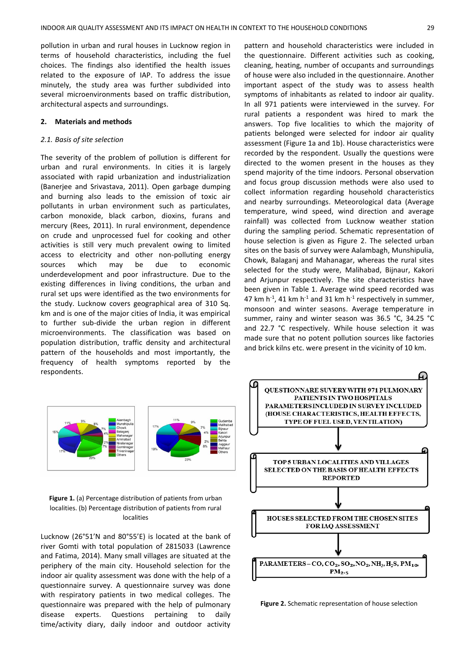pollution in urban and rural houses in Lucknow region in terms of household characteristics, including the fuel choices. The findings also identified the health issues related to the exposure of IAP. To address the issue minutely, the study area was further subdivided into several microenvironments based on traffic distribution, architectural aspects and surroundings.

#### **2. Materials and methods**

#### *2.1. Basis of site selection*

The severity of the problem of pollution is different for urban and rural environments. In cities it is largely associated with rapid urbanization and industrialization (Banerjee and Srivastava, 2011). Open garbage dumping and burning also leads to the emission of toxic air pollutants in urban environment such as particulates, carbon monoxide, black carbon, dioxins, furans and mercury (Rees, 2011). In rural environment, dependence on crude and unprocessed fuel for cooking and other activities is still very much prevalent owing to limited access to electricity and other non-polluting energy sources which may be due to economic underdevelopment and poor infrastructure. Due to the existing differences in living conditions, the urban and rural set ups were identified as the two environments for the study. Lucknow covers geographical area of 310 Sq. km and is one of the major cities of India, it was empirical to further sub-divide the urban region in different microenvironments. The classification was based on population distribution, traffic density and architectural pattern of the households and most importantly, the frequency of health symptoms reported by the respondents.

pattern and household characteristics were included in the questionnaire. Different activities such as cooking, cleaning, heating, number of occupants and surroundings of house were also included in the questionnaire. Another important aspect of the study was to assess health symptoms of inhabitants as related to indoor air quality. In all 971 patients were interviewed in the survey. For rural patients a respondent was hired to mark the answers. Top five localities to which the majority of patients belonged were selected for indoor air quality assessment (Figure 1a and 1b). House characteristics were recorded by the respondent. Usually the questions were directed to the women present in the houses as they spend majority of the time indoors. Personal observation and focus group discussion methods were also used to collect information regarding household characteristics and nearby surroundings. Meteorological data (Average temperature, wind speed, wind direction and average rainfall) was collected from Lucknow weather station during the sampling period. Schematic representation of house selection is given as Figure 2. The selected urban sites on the basis of survey were Aalambagh, Munshipulia, Chowk, Balaganj and Mahanagar, whereas the rural sites selected for the study were, Malihabad, Bijnaur, Kakori and Arjunpur respectively. The site characteristics have been given in Table 1. Average wind speed recorded was 47 km  $h^{-1}$ , 41 km  $h^{-1}$  and 31 km  $h^{-1}$  respectively in summer, monsoon and winter seasons. Average temperature in summer, rainy and winter season was 36.5 °C, 34.25 °C and 22.7 °C respectively. While house selection it was made sure that no potent pollution sources like factories and brick kilns etc. were present in the vicinity of 10 km.



**Figure 1.** (a) Percentage distribution of patients from urban localities. (b) Percentage distribution of patients from rural localities

Lucknow (26°51'N and 80°55'E) is located at the bank of river Gomti with total population of 2815033 (Lawrence and Fatima, 2014). Many small villages are situated at the periphery of the main city. Household selection for the indoor air quality assessment was done with the help of a questionnaire survey. A questionnaire survey was done with respiratory patients in two medical colleges. The questionnaire was prepared with the help of pulmonary disease experts. Questions pertaining to daily time/activity diary, daily indoor and outdoor activity



**Figure 2.** Schematic representation of house selection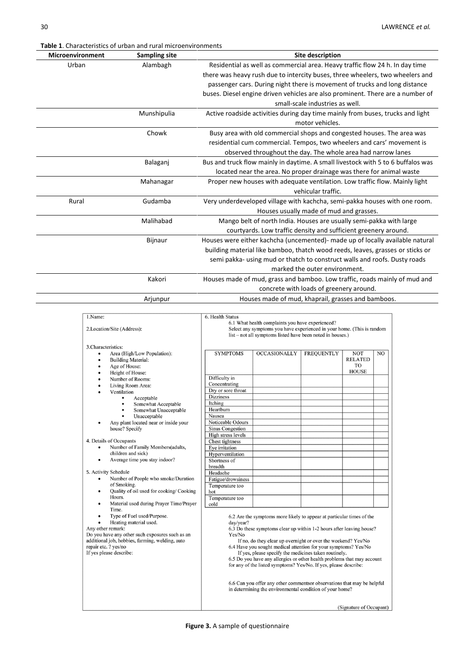**Table 1**. Characteristics of urban and rural microenvironments

|                         | <b>Table 1.</b> Characteristics of urban and rural microenvironments                                                                                                                                                                                                                                                                                                                                                                                                            |                                                                                                                                                                                                                                                                                                                                                                  |                                                                                                                                                                                                                                                                                                                                                                                                                                                                                                                                                                                                                                  |                               |                                                    |    |  |
|-------------------------|---------------------------------------------------------------------------------------------------------------------------------------------------------------------------------------------------------------------------------------------------------------------------------------------------------------------------------------------------------------------------------------------------------------------------------------------------------------------------------|------------------------------------------------------------------------------------------------------------------------------------------------------------------------------------------------------------------------------------------------------------------------------------------------------------------------------------------------------------------|----------------------------------------------------------------------------------------------------------------------------------------------------------------------------------------------------------------------------------------------------------------------------------------------------------------------------------------------------------------------------------------------------------------------------------------------------------------------------------------------------------------------------------------------------------------------------------------------------------------------------------|-------------------------------|----------------------------------------------------|----|--|
| <b>Microenvironment</b> | <b>Sampling site</b>                                                                                                                                                                                                                                                                                                                                                                                                                                                            |                                                                                                                                                                                                                                                                                                                                                                  |                                                                                                                                                                                                                                                                                                                                                                                                                                                                                                                                                                                                                                  | <b>Site description</b>       |                                                    |    |  |
| Urban                   | Alambagh                                                                                                                                                                                                                                                                                                                                                                                                                                                                        | Residential as well as commercial area. Heavy traffic flow 24 h. In day time<br>there was heavy rush due to intercity buses, three wheelers, two wheelers and<br>passenger cars. During night there is movement of trucks and long distance<br>buses. Diesel engine driven vehicles are also prominent. There are a number of<br>small-scale industries as well. |                                                                                                                                                                                                                                                                                                                                                                                                                                                                                                                                                                                                                                  |                               |                                                    |    |  |
|                         | Munshipulia                                                                                                                                                                                                                                                                                                                                                                                                                                                                     |                                                                                                                                                                                                                                                                                                                                                                  | Active roadside activities during day time mainly from buses, trucks and light                                                                                                                                                                                                                                                                                                                                                                                                                                                                                                                                                   | motor vehicles.               |                                                    |    |  |
|                         |                                                                                                                                                                                                                                                                                                                                                                                                                                                                                 |                                                                                                                                                                                                                                                                                                                                                                  |                                                                                                                                                                                                                                                                                                                                                                                                                                                                                                                                                                                                                                  |                               |                                                    |    |  |
|                         | Chowk                                                                                                                                                                                                                                                                                                                                                                                                                                                                           |                                                                                                                                                                                                                                                                                                                                                                  | Busy area with old commercial shops and congested houses. The area was<br>residential cum commercial. Tempos, two wheelers and cars' movement is<br>observed throughout the day. The whole area had narrow lanes                                                                                                                                                                                                                                                                                                                                                                                                                 |                               |                                                    |    |  |
|                         | Balaganj                                                                                                                                                                                                                                                                                                                                                                                                                                                                        | Bus and truck flow mainly in daytime. A small livestock with 5 to 6 buffalos was                                                                                                                                                                                                                                                                                 | located near the area. No proper drainage was there for animal waste                                                                                                                                                                                                                                                                                                                                                                                                                                                                                                                                                             |                               |                                                    |    |  |
|                         | Mahanagar                                                                                                                                                                                                                                                                                                                                                                                                                                                                       |                                                                                                                                                                                                                                                                                                                                                                  | Proper new houses with adequate ventilation. Low traffic flow. Mainly light                                                                                                                                                                                                                                                                                                                                                                                                                                                                                                                                                      | vehicular traffic.            |                                                    |    |  |
| Rural                   | Gudamba                                                                                                                                                                                                                                                                                                                                                                                                                                                                         | Very underdeveloped village with kachcha, semi-pakka houses with one room.                                                                                                                                                                                                                                                                                       |                                                                                                                                                                                                                                                                                                                                                                                                                                                                                                                                                                                                                                  |                               |                                                    |    |  |
|                         | Malihabad                                                                                                                                                                                                                                                                                                                                                                                                                                                                       |                                                                                                                                                                                                                                                                                                                                                                  | Houses usually made of mud and grasses.<br>Mango belt of north India. Houses are usually semi-pakka with large                                                                                                                                                                                                                                                                                                                                                                                                                                                                                                                   |                               |                                                    |    |  |
|                         |                                                                                                                                                                                                                                                                                                                                                                                                                                                                                 |                                                                                                                                                                                                                                                                                                                                                                  | courtyards. Low traffic density and sufficient greenery around.                                                                                                                                                                                                                                                                                                                                                                                                                                                                                                                                                                  |                               |                                                    |    |  |
|                         | Bijnaur                                                                                                                                                                                                                                                                                                                                                                                                                                                                         | Houses were either kachcha (uncemented)- made up of locally available natural                                                                                                                                                                                                                                                                                    | building material like bamboo, thatch wood reeds, leaves, grasses or sticks or<br>semi pakka- using mud or thatch to construct walls and roofs. Dusty roads                                                                                                                                                                                                                                                                                                                                                                                                                                                                      | marked the outer environment. |                                                    |    |  |
|                         | Kakori                                                                                                                                                                                                                                                                                                                                                                                                                                                                          | Houses made of mud, grass and bamboo. Low traffic, roads mainly of mud and                                                                                                                                                                                                                                                                                       | concrete with loads of greenery around.                                                                                                                                                                                                                                                                                                                                                                                                                                                                                                                                                                                          |                               |                                                    |    |  |
|                         | Arjunpur                                                                                                                                                                                                                                                                                                                                                                                                                                                                        |                                                                                                                                                                                                                                                                                                                                                                  | Houses made of mud, khaprail, grasses and bamboos.                                                                                                                                                                                                                                                                                                                                                                                                                                                                                                                                                                               |                               |                                                    |    |  |
|                         |                                                                                                                                                                                                                                                                                                                                                                                                                                                                                 |                                                                                                                                                                                                                                                                                                                                                                  |                                                                                                                                                                                                                                                                                                                                                                                                                                                                                                                                                                                                                                  |                               |                                                    |    |  |
|                         | 2. Location/Site (Address):<br>3. Characteristics:<br>Area (High/Low Population):<br><b>Building Material:</b><br>Age of House:<br>Height of House:<br>Number of Rooms:<br>Living Room Area:<br>Ventilation<br>Acceptable<br>Somewhat Acceptable<br>Somewhat Unacceptable<br>٠<br>Unacceptable<br>Any plant located near or inside your<br>house? Specify<br>4. Details of Occupants<br>Number of Family Members(adults,<br>children and sick)<br>Average time you stay indoor? | <b>SYMPTOMS</b><br>Difficulty in<br>Concentrating<br>Dry or sore throat<br>Dizziness<br>Itching<br>Heartburn<br>Nausea<br>Noticeable Odours<br>Sinus Congestion<br>High stress levels<br>Chest tightness<br>Eye irritation<br>Hyperventilation<br>Shortness of                                                                                                   | Select any symptoms you have experienced in your home. (This is random<br>list – not all symptoms listed have been noted in houses.)<br><b>OCCASIONALLY</b>                                                                                                                                                                                                                                                                                                                                                                                                                                                                      | <b>FREQUENTLY</b>             | <b>NOT</b><br><b>RELATED</b><br>TO<br><b>HOUSE</b> | NO |  |
|                         | 5. Activity Schedule<br>Number of People who smoke/Duration<br>$\bullet$<br>of Smoking.<br>Quality of oil used for cooking/ Cooking<br>Hours.<br>Material used during Prayer Time/Prayer<br>Time.<br>Type of Fuel used/Purpose.<br>Heating material used.<br>Any other remark:<br>Do you have any other such exposures such as an<br>additional job, hobbies, farming, welding, auto<br>repair etc. ? yes/no<br>If yes please describe:                                         | breadth<br>Headache<br>Fatigue/drowsiness<br>Temperature too<br>hot<br>Temperature too<br>cold<br>day/year?<br>Yes/No                                                                                                                                                                                                                                            | 6.2 Are the symptoms more likely to appear at particular times of the<br>6.3 Do these symptoms clear up within 1-2 hours after leaving house?<br>If no, do they clear up overnight or over the weekend? Yes/No<br>6.4 Have you sought medical attention for your symptoms? Yes/No<br>If yes, please specify the medicines taken routinely.<br>6.5 Do you have any allergies or other health problems that may account<br>for any of the listed symptoms? Yes/No. If yes, please describe:<br>6.6 Can you offer any other commentsor observations that may be helpful<br>in determining the environmental condition of your home? |                               | (Signature of Occupant)                            |    |  |

**Figure 3.** A sample of questionnaire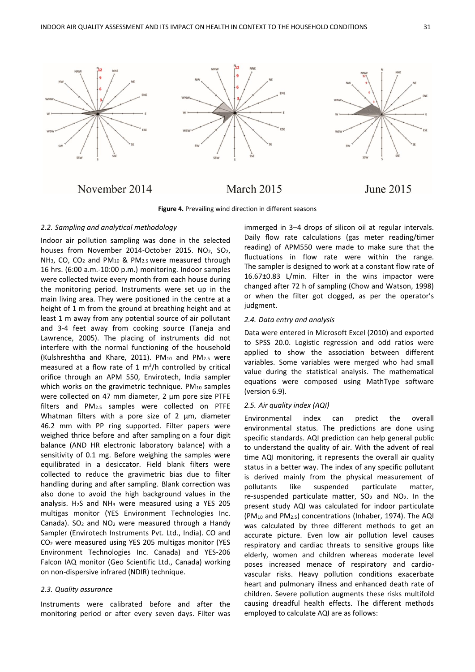

November 2014

March 2015



**Figure 4.** Prevailing wind direction in different seasons

#### *2.2. Sampling and analytical methodology*

Indoor air pollution sampling was done in the selected houses from November 2014-October 2015. NO<sub>2</sub>, SO<sub>2</sub>, NH3, CO, CO<sup>2</sup> and PM<sup>10</sup> & PM2.5 were measured through 16 hrs. (6:00 a.m.-10:00 p.m.) monitoring. Indoor samples were collected twice every month from each house during the monitoring period. Instruments were set up in the main living area. They were positioned in the centre at a height of 1 m from the ground at breathing height and at least 1 m away from any potential source of air pollutant and 3-4 feet away from cooking source (Taneja and Lawrence, 2005). The placing of instruments did not interfere with the normal functioning of the household (Kulshreshtha and Khare, 2011). PM10 and PM2.5 were measured at a flow rate of 1  $m^3/h$  controlled by critical orifice through an APM 550, Envirotech, India sampler which works on the gravimetric technique. PM10 samples were collected on 47 mm diameter, 2 μm pore size PTFE filters and PM2.5 samples were collected on PTFE Whatman filters with a pore size of 2 µm, diameter 46.2 mm with PP ring supported. Filter papers were weighed thrice before and after sampling on a four digit balance (AND HR electronic laboratory balance) with a sensitivity of 0.1 mg. Before weighing the samples were equilibrated in a desiccator. Field blank filters were collected to reduce the gravimetric bias due to filter handling during and after sampling. Blank correction was also done to avoid the high background values in the analysis. H2S and NH<sup>3</sup> were measured using a YES 205 multigas monitor (YES Environment Technologies Inc. Canada).  $SO<sub>2</sub>$  and  $NO<sub>2</sub>$  were measured through a Handy Sampler (Envirotech Instruments Pvt. Ltd., India). CO and CO<sup>2</sup> were measured using YES 205 multigas monitor (YES Environment Technologies Inc. Canada) and YES-206 Falcon IAQ monitor (Geo Scientific Ltd., Canada) working on non-dispersive infrared (NDIR) technique.

## *2.3. Quality assurance*

Instruments were calibrated before and after the monitoring period or after every seven days. Filter was immerged in 3–4 drops of silicon oil at regular intervals. Daily flow rate calculations (gas meter reading/timer reading) of APM550 were made to make sure that the fluctuations in flow rate were within the range. The sampler is designed to work at a constant flow rate of 16.67±0.83 L/min. Filter in the wins impactor were changed after 72 h of sampling (Chow and Watson, 1998) or when the filter got clogged, as per the operator's judgment.

## *2.4. Data entry and analysis*

Data were entered in Microsoft Excel (2010) and exported to SPSS 20.0. Logistic regression and odd ratios were applied to show the association between different variables. Some variables were merged who had small value during the statistical analysis. The mathematical equations were composed using MathType software (version 6.9).

# *2.5. Air quality index (AQI)*

Environmental index can predict the overall environmental status. The predictions are done using specific standards. AQI prediction can help general public to understand the quality of air. With the advent of real time AQI monitoring, it represents the overall air quality status in a better way. The index of any specific pollutant is derived mainly from the physical measurement of pollutants like suspended particulate matter, re-suspended particulate matter,  $SO<sub>2</sub>$  and  $NO<sub>2</sub>$ . In the present study AQI was calculated for indoor particulate (PM<sup>10</sup> and PM2.5) concentrations (Inhaber, 1974). The AQI was calculated by three different methods to get an accurate picture. Even low air pollution level causes respiratory and cardiac threats to sensitive groups like elderly, women and children whereas moderate level poses increased menace of respiratory and cardiovascular risks. Heavy pollution conditions exacerbate heart and pulmonary illness and enhanced death rate of children. Severe pollution augments these risks multifold causing dreadful health effects. The different methods employed to calculate AQI are as follows: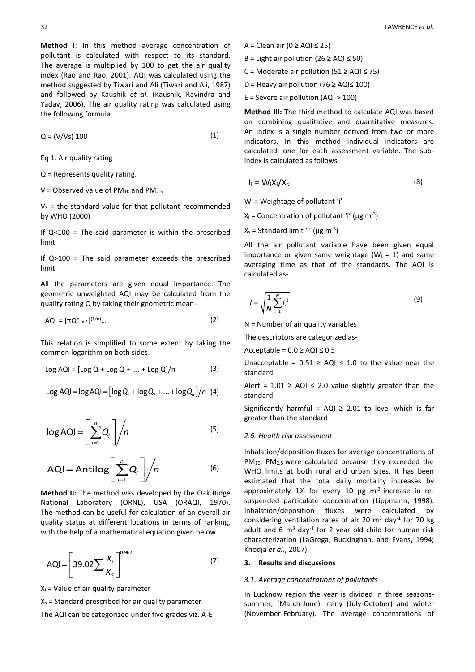**Method I**: In this method average concentration of pollutant is calculated with respect to its standard. The average is multiplied by 100 to get the air quality index (Rao and Rao, 2001). AQI was calculated using the method suggested by Tiwari and Ali (Tiwari and Ali, 1987) and followed by Kaushik *et al.* (Kaushik, Ravindra and Yadav, 2006). The air quality rating was calculated using the following formula

$$
Q = (V/Vs) 100 \tag{1}
$$

Eq 1. Air quality rating

Q = Represents quality rating,

 $V =$  Observed value of PM<sub>10</sub> and PM<sub>2.5</sub>

 $V<sub>S</sub>$  = the standard value for that pollutant recommended by WHO (2000)

If  $Q<100$  = The said parameter is within the prescribed limit

If  $Q>100$  = The said parameter exceeds the prescribed limit

All the parameters are given equal importance. The geometric unweighted AQI may be calculated from the quality rating Q by taking their geometric mean-

$$
AQI = [\pi Q_{i=1}^{n}]^{(1/n)}... \tag{2}
$$

This relation is simplified to some extent by taking the common logarithm on both sides.

$$
Log AQI = [Log Q + Log Q + .... + Log Q]/n
$$
 (3)

$$
Log AQI = log AQI = [log Q1 + log Q2 + ... + log Qn]/n (4)
$$

$$
log AQI = \left[\sum_{i=1}^{n} Q_i\right] / n \tag{5}
$$

$$
AQI = Antilog\bigg[\sum_{i=1}^{n}Q_i\bigg]\bigg/n
$$
 (6)

**Method II:** The method was developed by the Oak Ridge National Laboratory (ORNL), USA (ORAQI, 1970). The method can be useful for calculation of an overall air quality status at different locations in terms of ranking, with the help of a mathematical equation given below

$$
AQI = \left[39.02 \sum \frac{X_i}{X_s}\right]^{0.967}
$$
 (7)

 $X_i$  = Value of air quality parameter

 $X_s$  = Standard prescribed for air quality parameter

The AQI can be categorized under five grades viz. A-E

- A = Clean air (0 ≥ AQI ≤ 25)
- B = Light air pollution (26  $\geq$  AQI  $\leq$  50)
- C = Moderate air pollution (51  $\geq$  AQI  $\leq$  75)
- D = Heavy air pollution (76 ≥ AQI≤ 100)
- $E =$  Severe air pollution (AQI > 100)

**Method III:** The third method to calculate AQI was based on combining qualitative and quantitative measures. An index is a single number derived from two or more indicators. In this method individual indicators are calculated, one for each assessment variable. The subindex is calculated as follows

$$
I_i = W_i X_i / X_{si}
$$
 (8)

 $W_i$  = Weightage of pollutant 'i'

 $X_i$  = Concentration of pollutant 'i' ( $\mu$ g m<sup>-3</sup>)

 $X_s$  = Standard limit 'i' ( $\mu$ g m<sup>-3</sup>)

All the air pollutant variable have been given equal importance or given same weightage ( $W_i = 1$ ) and same averaging time as that of the standards. The AQI is calculated as-

$$
I = \sqrt{\frac{1}{N} \sum_{i=1}^{N} I_i^2}
$$
 (9)

 $N =$  Number of air quality variables

The descriptors are categorized as-

Acceptable =  $0.0 \geq AQI \leq 0.5$ 

Unacceptable =  $0.51$  ≥ AQI ≤ 1.0 to the value near the standard

Alert =  $1.01 \geq AQI \leq 2.0$  value slightly greater than the standard

Significantly harmful =  $AQI \geq 2.01$  to level which is far greater than the standard

# *2.6. Health risk assessment*

Inhalation/deposition fluxes for average concentrations of PM10, PM2.5 were calculated because they exceeded the WHO limits at both rural and urban sites. It has been estimated that the total daily mortality increases by approximately 1% for every 10  $\mu$ g m<sup>-3</sup> increase in resuspended particulate concentration (Lippmann, 1998). Inhalation/deposition fluxes were calculated by considering ventilation rates of air 20  $m^3$  day<sup>-1</sup> for 70 kg adult and 6  $m^3$  day<sup>-1</sup> for 2 year old child for human risk characterization (LaGrega, Buckinghan, and Evans, 1994; Khodja *et al.*, 2007).

# **3. Results and discussions**

#### *3.1. Average concentrations of pollutants*

In Lucknow region the year is divided in three seasonssummer, (March-June), rainy (July-October) and winter (November-February). The average concentrations of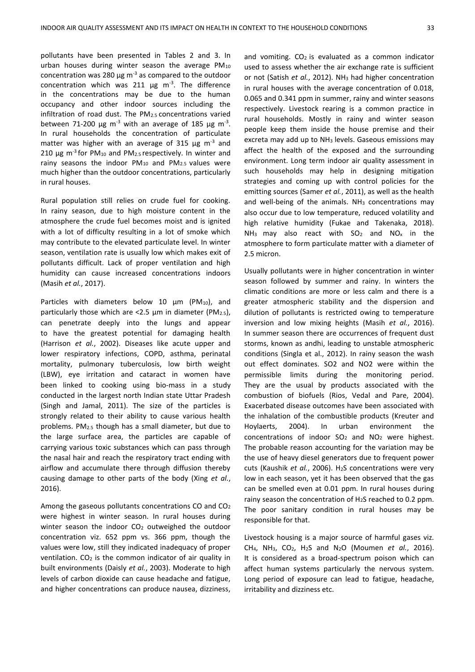pollutants have been presented in Tables 2 and 3. In urban houses during winter season the average  $PM_{10}$ concentration was 280  $\mu$ g m<sup>-3</sup> as compared to the outdoor concentration which was 211  $\mu$ g m<sup>-3</sup>. The difference in the concentrations may be due to the human occupancy and other indoor sources including the infiltration of road dust. The PM2.5 concentrations varied between 71-200  $\mu$ g m<sup>-3</sup> with an average of 185  $\mu$ g m<sup>-3</sup>. In rural households the concentration of particulate matter was higher with an average of 315  $\mu$ g m<sup>-3</sup> and 210  $\mu$ g m<sup>-3</sup> for PM<sub>10</sub> and PM<sub>2.5</sub> respectively. In winter and rainy seasons the indoor  $PM_{10}$  and  $PM_{2.5}$  values were much higher than the outdoor concentrations, particularly in rural houses.

Rural population still relies on crude fuel for cooking. In rainy season, due to high moisture content in the atmosphere the crude fuel becomes moist and is ignited with a lot of difficulty resulting in a lot of smoke which may contribute to the elevated particulate level. In winter season, ventilation rate is usually low which makes exit of pollutants difficult. Lack of proper ventilation and high humidity can cause increased concentrations indoors (Masih *et al.*, 2017).

Particles with diameters below 10 um (PM<sub>10</sub>), and particularly those which are <2.5  $\mu$ m in diameter (PM<sub>2.5</sub>), can penetrate deeply into the lungs and appear to have the greatest potential for damaging health (Harrison *et al.*, 2002). Diseases like acute upper and lower respiratory infections, COPD, asthma, perinatal mortality, pulmonary tuberculosis, low birth weight (LBW), eye irritation and cataract in women have been linked to cooking using bio-mass in a study conducted in the largest north Indian state Uttar Pradesh (Singh and Jamal, 2011). The size of the particles is strongly related to their ability to cause various health problems. PM2.5 though has a small diameter, but due to the large surface area, the particles are capable of carrying various toxic substances which can pass through the nasal hair and reach the respiratory tract ending with airflow and accumulate there through diffusion thereby causing damage to other parts of the body (Xing *et al.*, 2016).

Among the gaseous pollutants concentrations CO and CO<sup>2</sup> were highest in winter season. In rural houses during winter season the indoor CO<sub>2</sub> outweighed the outdoor concentration viz. 652 ppm vs. 366 ppm, though the values were low, still they indicated inadequacy of proper ventilation.  $CO<sub>2</sub>$  is the common indicator of air quality in built environments (Daisly *et al.*, 2003). Moderate to high levels of carbon dioxide can cause headache and fatigue, and higher concentrations can produce nausea, dizziness,

and vomiting.  $CO<sub>2</sub>$  is evaluated as a common indicator used to assess whether the air exchange rate is sufficient or not (Satish *et al.*, 2012). NH<sup>3</sup> had higher concentration in rural houses with the average concentration of 0.018, 0.065 and 0.341 ppm in summer, rainy and winter seasons respectively. Livestock rearing is a common practice in rural households. Mostly in rainy and winter season people keep them inside the house premise and their excreta may add up to NH<sup>3</sup> levels. Gaseous emissions may affect the health of the exposed and the surrounding environment. Long term indoor air quality assessment in such households may help in designing mitigation strategies and coming up with control policies for the emitting sources (Samer *et al.*, 2011), as well as the health and well-being of the animals. NH<sub>3</sub> concentrations may also occur due to low temperature, reduced volatility and high relative humidity (Fukae and Takenaka, 2018).  $NH<sub>3</sub>$  may also react with SO<sub>2</sub> and NO<sub>x</sub> in the atmosphere to form particulate matter with a diameter of 2.5 micron.

Usually pollutants were in higher concentration in winter season followed by summer and rainy. In winters the climatic conditions are more or less calm and there is a greater atmospheric stability and the dispersion and dilution of pollutants is restricted owing to temperature inversion and low mixing heights (Masih *et al.*, 2016). In summer season there are occurrences of frequent dust storms, known as andhi, leading to unstable atmospheric conditions (Singla et al., 2012). In rainy season the wash out effect dominates. SO2 and NO2 were within the permissible limits during the monitoring period. They are the usual by products associated with the combustion of biofuels (Rios, Vedal and Pare, 2004). Exacerbated disease outcomes have been associated with the inhalation of the combustible products (Kreuter and Hoylaerts, 2004). In urban environment the concentrations of indoor SO<sup>2</sup> and NO<sup>2</sup> were highest. The probable reason accounting for the variation may be the use of heavy diesel generators due to frequent power cuts (Kaushik *et al.*, 2006). H2S concentrations were very low in each season, yet it has been observed that the gas can be smelled even at 0.01 ppm. In rural houses during rainy season the concentration of H2S reached to 0.2 ppm. The poor sanitary condition in rural houses may be responsible for that.

Livestock housing is a major source of harmful gases viz. CH4, NH3, CO2, H2S and N2O (Moumen *et al.*, 2016). It is considered as a broad-spectrum poison which can affect human systems particularly the nervous system. Long period of exposure can lead to fatigue, headache, irritability and dizziness etc.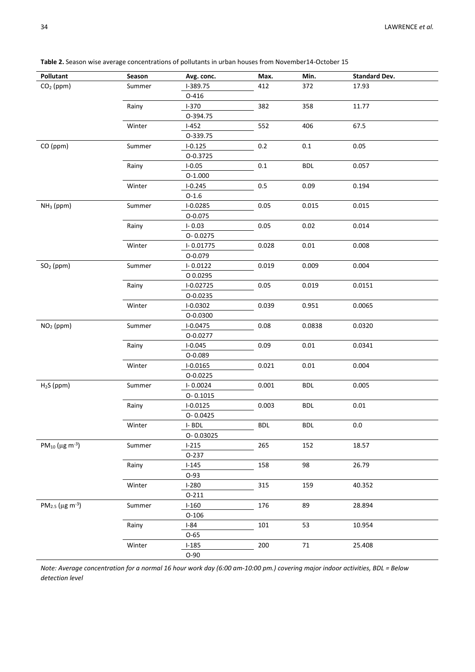| Pollutant                                     | Season | Avg. conc.   | Max.       | Min.       | <b>Standard Dev.</b> |
|-----------------------------------------------|--------|--------------|------------|------------|----------------------|
| $CO2$ (ppm)                                   | Summer | I-389.75     | 412        | 372        | 17.93                |
|                                               |        | $O-416$      |            |            |                      |
|                                               | Rainy  | $I-370$      | 382        | 358        | 11.77                |
|                                               |        | 0-394.75     |            |            |                      |
|                                               | Winter | $I-452$      | 552        | 406        | 67.5                 |
|                                               |        | 0-339.75     |            |            |                      |
| CO (ppm)                                      | Summer | $I - 0.125$  | $0.2\,$    | $0.1\,$    | 0.05                 |
|                                               |        | 0-0.3725     |            |            |                      |
|                                               | Rainy  | $I - 0.05$   | $0.1\,$    | <b>BDL</b> | 0.057                |
|                                               |        | O-1.000      |            |            |                      |
|                                               | Winter | $I - 0.245$  | $0.5\,$    | 0.09       | 0.194                |
|                                               |        | $O-1.6$      |            |            |                      |
| $NH3$ (ppm)                                   | Summer | $I - 0.0285$ | 0.05       | 0.015      | 0.015                |
|                                               |        | $O - 0.075$  |            |            |                      |
|                                               | Rainy  | $I - 0.03$   | 0.05       | 0.02       | 0.014                |
|                                               |        | O-0.0275     |            |            |                      |
|                                               | Winter | I-0.01775    | 0.028      | 0.01       | 0.008                |
|                                               |        | O-0.079      |            |            |                      |
| $SO2$ (ppm)                                   | Summer | $I - 0.0122$ | 0.019      | 0.009      | 0.004                |
|                                               |        | O 0.0295     |            |            |                      |
|                                               | Rainy  | I-0.02725    | 0.05       | 0.019      | 0.0151               |
|                                               |        | 0-0.0235     |            |            |                      |
|                                               | Winter | $I - 0.0302$ | 0.039      | 0.951      | 0.0065               |
|                                               |        | O-0.0300     |            |            |                      |
| $NO2$ (ppm)                                   | Summer | $I - 0.0475$ | 0.08       | 0.0838     | 0.0320               |
|                                               |        | O-0.0277     |            |            |                      |
|                                               | Rainy  | $I - 0.045$  | 0.09       | 0.01       | 0.0341               |
|                                               |        | O-0.089      |            |            |                      |
|                                               | Winter | $I-0.0165$   | 0.021      | 0.01       | 0.004                |
|                                               |        | 0-0.0225     |            |            |                      |
| $H2S$ (ppm)                                   | Summer | $I - 0.0024$ | 0.001      | <b>BDL</b> | 0.005                |
|                                               |        | $O - 0.1015$ |            |            |                      |
|                                               | Rainy  | $I - 0.0125$ | 0.003      | <b>BDL</b> | 0.01                 |
|                                               |        | O-0.0425     |            |            |                      |
|                                               | Winter | $I - BDL$    | <b>BDL</b> | <b>BDL</b> | $0.0\,$              |
|                                               |        | O-0.03025    |            |            |                      |
| PM <sub>10</sub> ( $\mu$ g m <sup>-3</sup> )  | Summer | $I-215$      | 265        | 152        | 18.57                |
|                                               |        | 0-237        |            |            |                      |
|                                               | Rainy  | $I-145$      | 158        | 98         | 26.79                |
|                                               |        | O-93         |            |            |                      |
|                                               | Winter | $I-280$      | 315        | 159        | 40.352               |
|                                               |        | $0 - 211$    |            |            |                      |
| PM <sub>2.5</sub> ( $\mu$ g m <sup>-3</sup> ) | Summer | $I-160$      | 176        | 89         | 28.894               |
|                                               |        | $O-106$      |            |            |                      |
|                                               | Rainy  | $I-84$       | 101        | 53         | 10.954               |
|                                               |        | $O-65$       |            |            |                      |
|                                               | Winter | $I-185$      | 200        | $71\,$     | 25.408               |
|                                               |        | $O-90$       |            |            |                      |

**Table 2.** Season wise average concentrations of pollutants in urban houses from November14-October 15

*Note: Average concentration for a normal 16 hour work day (6:00 am-10:00 pm.) covering major indoor activities, BDL = Below detection level*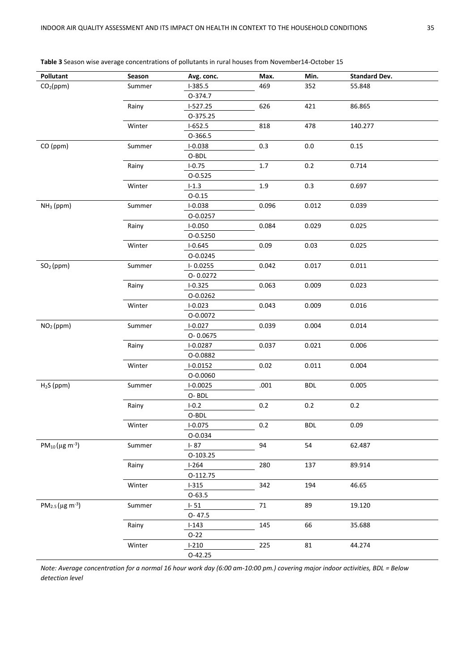| Pollutant                        | Season | Avg. conc.   | Max.    | Min.       | <b>Standard Dev.</b> |
|----------------------------------|--------|--------------|---------|------------|----------------------|
| CO <sub>2</sub> (ppm)            | Summer | $I-385.5$    | 469     | 352        | 55.848               |
|                                  |        | 0-374.7      |         |            |                      |
|                                  | Rainy  | $I-527.25$   | 626     | 421        | 86.865               |
|                                  |        | O-375.25     |         |            |                      |
|                                  | Winter | $I-652.5$    | 818     | 478        | 140.277              |
|                                  |        | 0-366.5      |         |            |                      |
| CO (ppm)                         | Summer | $I - 0.038$  | 0.3     | $0.0\,$    | 0.15                 |
|                                  |        | O-BDL        |         |            |                      |
|                                  | Rainy  | $I - 0.75$   | $1.7\,$ | 0.2        | 0.714                |
|                                  |        | 0-0.525      |         |            |                      |
|                                  | Winter | $I - 1.3$    | $1.9\,$ | 0.3        | 0.697                |
|                                  |        | $0 - 0.15$   |         |            |                      |
| $NH3$ (ppm)                      | Summer | $I - 0.038$  | 0.096   | 0.012      | 0.039                |
|                                  |        | O-0.0257     |         |            |                      |
|                                  | Rainy  | $I - 0.050$  | 0.084   | 0.029      | 0.025                |
|                                  |        | O-0.5250     |         |            |                      |
|                                  | Winter | $I - 0.645$  | 0.09    | 0.03       | 0.025                |
|                                  |        | O-0.0245     |         |            |                      |
| SO <sub>2</sub> (ppm)            | Summer | $I - 0.0255$ | 0.042   | 0.017      | 0.011                |
|                                  |        | O-0.0272     |         |            |                      |
|                                  | Rainy  | $I - 0.325$  | 0.063   | 0.009      | 0.023                |
|                                  |        | O-0.0262     |         |            |                      |
|                                  | Winter | $I - 0.023$  | 0.043   | 0.009      | 0.016                |
|                                  |        | O-0.0072     |         |            |                      |
| NO <sub>2</sub> (ppm)            | Summer | $I - 0.027$  | 0.039   | 0.004      | 0.014                |
|                                  |        | O-0.0675     |         |            |                      |
|                                  | Rainy  | $I - 0.0287$ | 0.037   | 0.021      | 0.006                |
|                                  |        | O-0.0882     |         |            |                      |
|                                  | Winter | $I - 0.0152$ | 0.02    | 0.011      | 0.004                |
|                                  |        | O-0.0060     |         |            |                      |
| $H2S$ (ppm)                      | Summer | $I-0.0025$   | .001    | <b>BDL</b> | 0.005                |
|                                  |        | O-BDL        |         |            |                      |
|                                  | Rainy  | $I-0.2$      | 0.2     | 0.2        | 0.2                  |
|                                  |        | O-BDL        |         |            |                      |
|                                  | Winter | $I - 0.075$  | 0.2     | <b>BDL</b> | 0.09                 |
|                                  |        | 0-0.034      |         |            |                      |
| $PM_{10}(\mu g \, m^{-3})$       | Summer | $I - 87$     | 94      | 54         | 62.487               |
|                                  |        | 0-103.25     |         |            |                      |
|                                  | Rainy  | $I-264$      | 280     | 137        | 89.914               |
|                                  |        | O-112.75     |         |            |                      |
|                                  | Winter | $1 - 315$    | 342     | 194        | 46.65                |
|                                  |        | $O-63.5$     |         |            |                      |
| $PM_{2.5}$ (µg m <sup>-3</sup> ) | Summer | $I - 51$     | $71\,$  | 89         | 19.120               |
|                                  |        | $O - 47.5$   |         |            |                      |
|                                  | Rainy  | $I - 143$    | 145     | 66         | 35.688               |
|                                  |        | $O-22$       |         |            |                      |
|                                  | Winter | $I-210$      | 225     | 81         | 44.274               |
|                                  |        | 0-42.25      |         |            |                      |
|                                  |        |              |         |            |                      |

**Table 3** Season wise average concentrations of pollutants in rural houses from November14-October 15

*Note: Average concentration for a normal 16 hour work day (6:00 am-10:00 pm.) covering major indoor activities, BDL = Below detection level*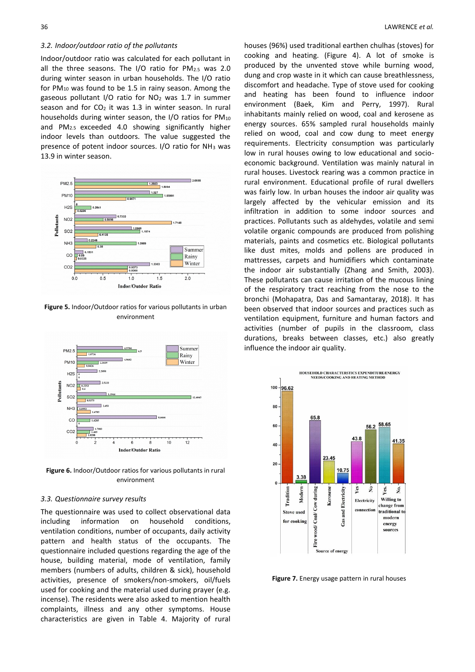#### *3.2. Indoor/outdoor ratio of the pollutants*

Indoor/outdoor ratio was calculated for each pollutant in all the three seasons. The I/O ratio for PM2.5 was 2.0 during winter season in urban households. The I/O ratio for  $PM_{10}$  was found to be 1.5 in rainy season. Among the gaseous pollutant I/O ratio for  $NO<sub>2</sub>$  was 1.7 in summer season and for  $CO<sub>2</sub>$  it was 1.3 in winter season. In rural households during winter season, the I/O ratios for PM<sup>10</sup> and PM2.5 exceeded 4.0 showing significantly higher indoor levels than outdoors. The value suggested the presence of potent indoor sources. I/O ratio for NH<sup>3</sup> was 13.9 in winter season.



**Figure 5.** Indoor/Outdoor ratios for various pollutants in urban environment



**Figure 6.** Indoor/Outdoor ratios for various pollutants in rural environment

#### *3.3. Questionnaire survey results*

The questionnaire was used to collect observational data including information on household conditions, ventilation conditions, number of occupants, daily activity pattern and health status of the occupants. The questionnaire included questions regarding the age of the house, building material, mode of ventilation, family members (numbers of adults, children & sick), household activities, presence of smokers/non-smokers, oil/fuels used for cooking and the material used during prayer (e.g. incense). The residents were also asked to mention health complaints, illness and any other symptoms. House characteristics are given in Table 4. Majority of rural

houses (96%) used traditional earthen chulhas (stoves) for cooking and heating. (Figure 4). A lot of smoke is produced by the unvented stove while burning wood, dung and crop waste in it which can cause breathlessness, discomfort and headache. Type of stove used for cooking and heating has been found to influence indoor environment (Baek, Kim and Perry, 1997). Rural inhabitants mainly relied on wood, coal and kerosene as energy sources. 65% sampled rural households mainly relied on wood, coal and cow dung to meet energy requirements. Electricity consumption was particularly low in rural houses owing to low educational and socioeconomic background. Ventilation was mainly natural in rural houses. Livestock rearing was a common practice in rural environment. Educational profile of rural dwellers was fairly low. In urban houses the indoor air quality was largely affected by the vehicular emission and its infiltration in addition to some indoor sources and practices. Pollutants such as aldehydes, volatile and semi volatile organic compounds are produced from polishing materials, paints and cosmetics etc. Biological pollutants like dust mites, molds and pollens are produced in mattresses, carpets and humidifiers which contaminate the indoor air substantially (Zhang and Smith, 2003). These pollutants can cause irritation of the mucous lining of the respiratory tract reaching from the nose to the bronchi (Mohapatra, Das and Samantaray, 2018). It has been observed that indoor sources and practices such as ventilation equipment, furniture and human factors and activities (number of pupils in the classroom, class durations, breaks between classes, etc.) also greatly influence the indoor air quality.



**Figure 7.** Energy usage pattern in rural houses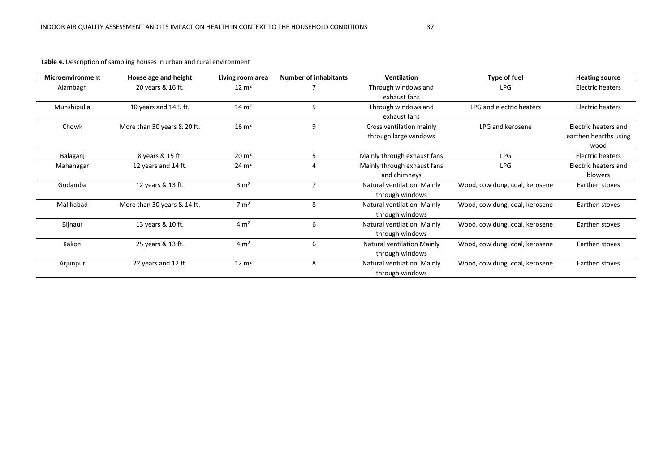**Table 4.** Description of sampling houses in urban and rural environment

| <b>Microenvironment</b> | House age and height        | Living room area   | <b>Number of inhabitants</b> | Ventilation                 | Type of fuel                   | <b>Heating source</b> |
|-------------------------|-----------------------------|--------------------|------------------------------|-----------------------------|--------------------------------|-----------------------|
| Alambagh                | 20 years & 16 ft.           | $12 \text{ m}^2$   |                              | Through windows and         | <b>LPG</b>                     | Electric heaters      |
|                         |                             |                    |                              | exhaust fans                |                                |                       |
| Munshipulia             | 10 years and 14.5 ft.       | $14 \text{ m}^2$   | 5                            | Through windows and         | LPG and electric heaters       | Electric heaters      |
|                         |                             |                    |                              | exhaust fans                |                                |                       |
| Chowk                   | More than 50 years & 20 ft. | $16 \text{ m}^2$   | 9                            | Cross ventilation mainly    | LPG and kerosene               | Electric heaters and  |
|                         |                             |                    |                              | through large windows       |                                | earthen hearths using |
|                         |                             |                    |                              |                             |                                | wood                  |
| Balaganj                | 8 years & 15 ft.            | $20 \, \text{m}^2$ |                              | Mainly through exhaust fans | <b>LPG</b>                     | Electric heaters      |
| Mahanagar               | 12 years and 14 ft.         | $24 \, \text{m}^2$ | 4                            | Mainly through exhaust fans | <b>LPG</b>                     | Electric heaters and  |
|                         |                             |                    |                              | and chimneys                |                                | blowers               |
| Gudamba                 | 12 years & 13 ft.           | $3 \text{ m}^2$    |                              | Natural ventilation. Mainly | Wood, cow dung, coal, kerosene | Earthen stoves        |
|                         |                             |                    |                              | through windows             |                                |                       |
| Malihabad               | More than 30 years & 14 ft. | $7 \text{ m}^2$    | 8                            | Natural ventilation. Mainly | Wood, cow dung, coal, kerosene | Earthen stoves        |
|                         |                             |                    |                              | through windows             |                                |                       |
| Bijnaur                 | 13 years & 10 ft.           | 4 m <sup>2</sup>   | 6                            | Natural ventilation. Mainly | Wood, cow dung, coal, kerosene | Earthen stoves        |
|                         |                             |                    |                              | through windows             |                                |                       |
| Kakori                  | 25 years & 13 ft.           | $4 \text{ m}^2$    | 6                            | Natural ventilation Mainly  | Wood, cow dung, coal, kerosene | Earthen stoves        |
|                         |                             |                    |                              | through windows             |                                |                       |
| Arjunpur                | 22 years and 12 ft.         | $12 \text{ m}^2$   | 8                            | Natural ventilation. Mainly | Wood, cow dung, coal, kerosene | Earthen stoves        |
|                         |                             |                    |                              | through windows             |                                |                       |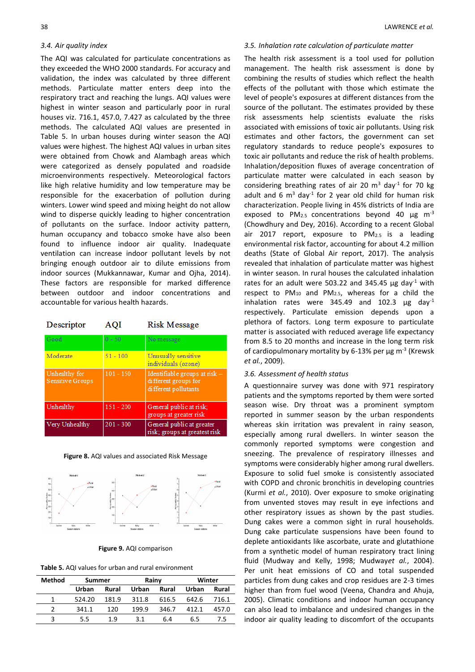#### *3.4. Air quality index*

The AQI was calculated for particulate concentrations as they exceeded the WHO 2000 standards. For accuracy and validation, the index was calculated by three different methods. Particulate matter enters deep into the respiratory tract and reaching the lungs. AQI values were highest in winter season and particularly poor in rural houses viz. 716.1, 457.0, 7.427 as calculated by the three methods. The calculated AQI values are presented in Table 5. In urban houses during winter season the AQI values were highest. The highest AQI values in urban sites were obtained from Chowk and Alambagh areas which were categorized as densely populated and roadside microenvironments respectively. Meteorological factors like high relative humidity and low temperature may be responsible for the exacerbation of pollution during winters. Lower wind speed and mixing height do not allow wind to disperse quickly leading to higher concentration of pollutants on the surface. Indoor activity pattern, human occupancy and tobacco smoke have also been found to influence indoor air quality. Inadequate ventilation can increase indoor pollutant levels by not bringing enough outdoor air to dilute emissions from indoor sources (Mukkannawar, Kumar and Ojha, 2014). These factors are responsible for marked difference between outdoor and indoor concentrations and accountable for various health hazards.

| Descriptor | <b>AQI</b> | <b>Risk Message</b> |
|------------|------------|---------------------|
|------------|------------|---------------------|

| Good                                     | $0 - 50$    | No message                                                                      |
|------------------------------------------|-------------|---------------------------------------------------------------------------------|
| Moderate                                 | $51 - 100$  | Unusually sensitive<br>individuals (ozone)                                      |
| Unhealthy for<br><b>Sensitive Groups</b> | $101 - 150$ | Identifiable groups at risk $-$<br>different groups for<br>different pollutants |
| Unhealthy                                | $151 - 200$ | General public at risk:<br>groups at greater risk                               |
| Very Unhealthy                           | $201 - 300$ | General public at greater<br>risk; groups at greatest risk                      |

**Figure 8.** AQI values and associated Risk Message



**Figure 9.** AQI comparison

| <b>Method</b> | Summer |       | Rainy        |       | Winter |       |
|---------------|--------|-------|--------------|-------|--------|-------|
|               | Urban  | Rural | <b>Urban</b> | Rural | Urban  | Rural |
|               | 524.20 | 181.9 | 311.8        | 616.5 | 642.6  | 716.1 |
|               | 341.1  | 120   | 199.9        | 346.7 | 412.1  | 457.0 |
|               | 5.5    | 19    | 31           | 6.4   | հ 5    | 75    |

#### *3.5. Inhalation rate calculation of particulate matter*

The health risk assessment is a tool used for pollution management. The health risk assessment is done by combining the results of studies which reflect the health effects of the pollutant with those which estimate the level of people's exposures at different distances from the source of the pollutant. The estimates provided by these risk assessments help scientists evaluate the risks associated with emissions of toxic air pollutants. Using risk estimates and other factors, the government can set regulatory standards to reduce people's exposures to toxic air pollutants and reduce the risk of health problems. Inhalation/deposition fluxes of average concentration of particulate matter were calculated in each season by considering breathing rates of air 20  $m<sup>3</sup>$  day<sup>-1</sup> for 70 kg adult and 6  $m^3$  day<sup>-1</sup> for 2 year old child for human risk characterization. People living in 45% districts of India are exposed to  $PM_{2.5}$  concentrations beyond 40  $\mu$ g m<sup>-3</sup> (Chowdhury and Dey, 2016). According to a recent Global air 2017 report, exposure to PM2.5 is a leading environmental risk factor, accounting for about 4.2 million deaths (State of Global Air report, 2017). The analysis revealed that inhalation of particulate matter was highest in winter season. In rural houses the calculated inhalation rates for an adult were 503.22 and 345.45  $\mu$ g day<sup>-1</sup> with respect to PM<sup>10</sup> and PM2.5, whereas for a child the inhalation rates were 345.49 and 102.3  $\mu$ g day<sup>-1</sup> respectively. Particulate emission depends upon a plethora of factors. Long term exposure to particulate matter is associated with reduced average life expectancy from 8.5 to 20 months and increase in the long term risk of cardiopulmonary mortality by 6-13% per  $\mu$ g m<sup>-3</sup> (Krewsk *et al.*, 2009).

#### *3.6. Assessment of health status*

A questionnaire survey was done with 971 respiratory patients and the symptoms reported by them were sorted season wise. Dry throat was a prominent symptom reported in summer season by the urban respondents whereas skin irritation was prevalent in rainy season, especially among rural dwellers. In winter season the commonly reported symptoms were congestion and sneezing. The prevalence of respiratory illnesses and symptoms were considerably higher among rural dwellers. Exposure to solid fuel smoke is consistently associated with COPD and chronic bronchitis in developing countries (Kurmi *et al.*, 2010). Over exposure to smoke originating from unvented stoves may result in eye infections and other respiratory issues as shown by the past studies. Dung cakes were a common sight in rural households. Dung cake particulate suspensions have been found to deplete antioxidants like ascorbate, urate and glutathione from a synthetic model of human respiratory tract lining fluid (Mudway and Kelly, 1998; Mudway*et al.*, 2004). Per unit heat emissions of CO and total suspended particles from dung cakes and crop residues are 2-3 times higher than from fuel wood (Veena, Chandra and Ahuja, 2005). Climatic conditions and indoor human occupancy can also lead to imbalance and undesired changes in the indoor air quality leading to discomfort of the occupants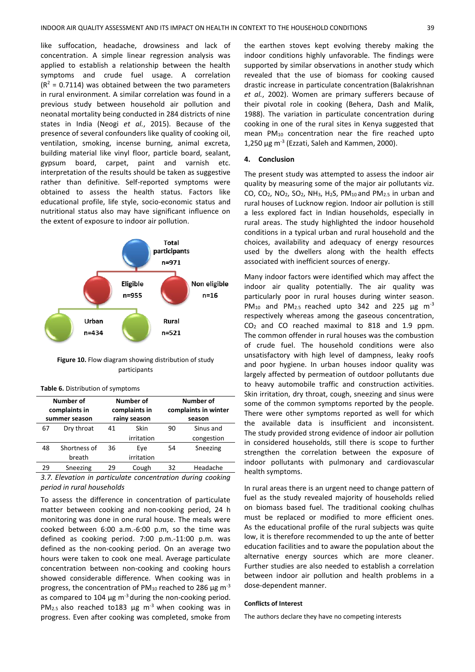like suffocation, headache, drowsiness and lack of concentration. A simple linear regression analysis was applied to establish a relationship between the health symptoms and crude fuel usage. A correlation  $(R<sup>2</sup> = 0.7114)$  was obtained between the two parameters in rural environment. A similar correlation was found in a previous study between household air pollution and neonatal mortality being conducted in 284 districts of nine states in India (Neogi *et al.*, 2015). Because of the presence of several confounders like quality of cooking oil, ventilation, smoking, incense burning, animal excreta, building material like vinyl floor, particle board, sealant, gypsum board, carpet, paint and varnish etc. interpretation of the results should be taken as suggestive rather than definitive. Self-reported symptoms were obtained to assess the health status. Factors like educational profile, life style, socio-economic status and nutritional status also may have significant influence on the extent of exposure to indoor air pollution.



**Figure 10.** Flow diagram showing distribution of study participants

| Number of<br>complaints in |                               | Number of<br>complaints in |            | Number of<br>complaints in winter |            |  |
|----------------------------|-------------------------------|----------------------------|------------|-----------------------------------|------------|--|
|                            | rainy season<br>summer season |                            | season     |                                   |            |  |
| 67                         | Dry throat                    | Skin<br>41                 |            | 90                                | Sinus and  |  |
|                            |                               |                            | irritation |                                   | congestion |  |
| 48                         | Shortness of                  | 36                         | Eye        | 54                                | Sneezing   |  |
|                            | breath                        |                            | irritation |                                   |            |  |
| 29                         | Sneezing                      | 29                         | Cough      | 32                                | Headache   |  |

|  |  | Table 6. Distribution of symptoms |
|--|--|-----------------------------------|
|--|--|-----------------------------------|

*3.7. Elevation in particulate concentration during cooking period in rural households*

To assess the difference in concentration of particulate matter between cooking and non-cooking period, 24 h monitoring was done in one rural house. The meals were cooked between 6:00 a.m.-6:00 p.m, so the time was defined as cooking period. 7:00 p.m.-11:00 p.m. was defined as the non-cooking period. On an average two hours were taken to cook one meal. Average particulate concentration between non-cooking and cooking hours showed considerable difference. When cooking was in progress, the concentration of PM<sub>10</sub> reached to 286  $\mu$ g m<sup>-3</sup> as compared to 104  $\mu$ g m<sup>-3</sup> during the non-cooking period. PM<sub>2.5</sub> also reached to183  $\mu$ g m<sup>-3</sup> when cooking was in progress. Even after cooking was completed, smoke from

the earthen stoves kept evolving thereby making the indoor conditions highly unfavorable. The findings were supported by similar observations in another study which revealed that the use of biomass for cooking caused drastic increase in particulate concentration (Balakrishnan *et al.*, 2002). Women are primary sufferers because of their pivotal role in cooking (Behera, Dash and Malik, 1988). The variation in particulate concentration during cooking in one of the rural sites in Kenya suggested that mean PM<sup>10</sup> concentration near the fire reached upto  $1,250 \,\mathrm{\mu g}$  m<sup>-3</sup> (Ezzati, Saleh and Kammen, 2000).

## **4. Conclusion**

The present study was attempted to assess the indoor air quality by measuring some of the major air pollutants viz. CO, CO2, NO2, SO2, NH3, H2S, PM10 and PM2.5 in urban and rural houses of Lucknow region. Indoor air pollution is still a less explored fact in Indian households, especially in rural areas. The study highlighted the indoor household conditions in a typical urban and rural household and the choices, availability and adequacy of energy resources used by the dwellers along with the health effects associated with inefficient sources of energy.

Many indoor factors were identified which may affect the indoor air quality potentially. The air quality was particularly poor in rural houses during winter season. PM<sub>10</sub> and PM<sub>2.5</sub> reached upto 342 and 225  $\mu$ g m<sup>-3</sup> respectively whereas among the gaseous concentration, CO<sup>2</sup> and CO reached maximal to 818 and 1.9 ppm. The common offender in rural houses was the combustion of crude fuel. The household conditions were also unsatisfactory with high level of dampness, leaky roofs and poor hygiene. In urban houses indoor quality was largely affected by permeation of outdoor pollutants due to heavy automobile traffic and construction activities. Skin irritation, dry throat, cough, sneezing and sinus were some of the common symptoms reported by the people. There were other symptoms reported as well for which the available data is insufficient and inconsistent. The study provided strong evidence of indoor air pollution in considered households, still there is scope to further strengthen the correlation between the exposure of indoor pollutants with pulmonary and cardiovascular health symptoms.

In rural areas there is an urgent need to change pattern of fuel as the study revealed majority of households relied on biomass based fuel. The traditional cooking chulhas must be replaced or modified to more efficient ones. As the educational profile of the rural subjects was quite low, it is therefore recommended to up the ante of better education facilities and to aware the population about the alternative energy sources which are more cleaner. Further studies are also needed to establish a correlation between indoor air pollution and health problems in a dose-dependent manner.

#### **Conflicts of Interest**

The authors declare they have no competing interests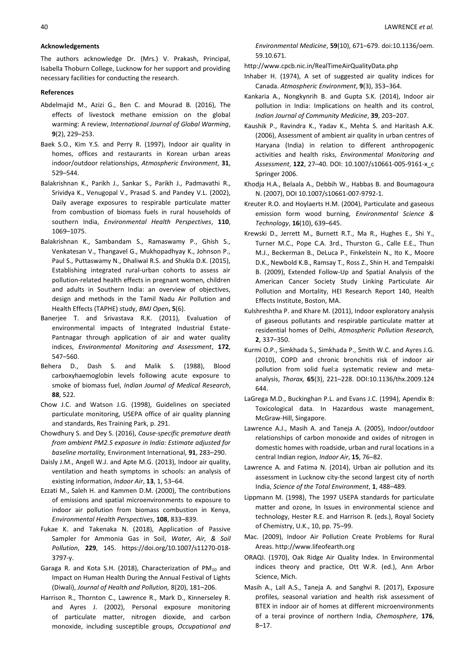## **Acknowledgements**

The authors acknowledge Dr. (Mrs.) V. Prakash, Principal, Isabella Thoburn College, Lucknow for her support and providing necessary facilities for conducting the research.

## **References**

- Abdelmajid M., Azizi G., Ben C. and Mourad B. (2016), The effects of livestock methane emission on the global warming: A review, *International Journal of Global Warming*, **9**(2), 229–253.
- Baek S.O., Kim Y.S. and Perry R. (1997), Indoor air quality in homes, offices and restaurants in Korean urban areas indoor/outdoor relationships, *Atmospheric Environment*, **31**, 529–544.
- Balakrishnan K., Parikh J., Sankar S., Parikh J., Padmavathi R., Srividya K., Venugopal V., Prasad S. and Pandey V.L. (2002), Daily average exposures to respirable particulate matter from combustion of biomass fuels in rural households of southern India, *Environmental Health Perspectives*, **110**, 1069–1075.
- Balakrishnan K., Sambandam S., Ramaswamy P., Ghish S., Venkatesan V., Thangavel G., Mukhopadhyay K., Johnson P., Paul S., Puttaswamy N., Dhaliwal R.S. and Shukla D.K. (2015), Establishing integrated rural-urban cohorts to assess air pollution-related health effects in pregnant women, children and adults in Southern India: an overview of objectives, design and methods in the Tamil Nadu Air Pollution and Health Effects (TAPHE) study, *BMJ Open***, 5**(6).
- Banerjee T. and Srivastava R.K. (2011), Evaluation of environmental impacts of Integrated Industrial Estate-Pantnagar through application of air and water quality indices, *Environmental Monitoring and Assessment*, **172**, 547–560.
- Behera D., Dash S. and Malik S. (1988), Blood carboxyhaemoglobin levels following acute exposure to smoke of biomass fuel, *Indian Journal of Medical Research*, **88**, 522.
- Chow J.C. and Watson J.G. (1998), Guidelines on speciated particulate monitoring, USEPA office of air quality planning and standards, Res Training Park, p. 291.
- Chowdhury S. and Dey S. (2016), *Cause-specific premature death from ambient PM2.5 exposure in India: Estimate adjusted for baseline mortality,* Environment International, **91**, 283–290.
- Daisly J.M., [Angell W.J.](https://www.ncbi.nlm.nih.gov/pubmed/?term=Angell%20WJ%5BAuthor%5D&cauthor=true&cauthor_uid=12608926) and [Apte M.G.](https://www.ncbi.nlm.nih.gov/pubmed/?term=Apte%20MG%5BAuthor%5D&cauthor=true&cauthor_uid=12608926) (2013), Indoor air quality, ventilation and heath symptoms in schools: an analysis of existing information, *Indoor Air*, **13**, 1, 53–64.
- Ezzati M., Saleh H. and Kammen D.M. (2000), The contributions of emissions and spatial microenvironments to exposure to indoor air pollution from biomass combustion in Kenya, *Environmental Health Perspectives*, **108**, 833–839.
- Fukae K. and Takenaka N. (2018), Application of Passive Sampler for Ammonia Gas in Soil, *Water, Air, & Soil Pollution*, **229**, 145. https://doi.org/10.1007/s11270-018- 3797-y.
- Garaga R. and Kota S.H. (2018), Characterization of  $PM_{10}$  and Impact on Human Health During the Annual Festival of Lights (Diwali), *Journal of Health and Pollution,* 8(20), 181–206.
- Harrison R., Thornton C., Lawrence R., Mark D., Kinnerseley R. and Ayres J. (2002), Personal exposure monitoring of particulate matter, nitrogen dioxide, and carbon monoxide, including susceptible groups, *Occupational and*

*Environmental Medicine*, **59**(10), 671–679. doi:10.1136/oem. 59.10.671.

http://www.cpcb.nic.in/RealTimeAirQualityData.php

- Inhaber H. (1974), A set of suggested air quality indices for Canada. *Atmospheric Environment*, **9**(3), 353–364.
- Kankaria A., Nongkynrih B. and Gupta S.K. (2014), Indoor air pollution in India: Implications on health and its control, *Indian Journal of Community Medicine*, **39**, 203–207.
- Kaushik P., Ravindra K., Yadav K., Mehta S. and Haritash A.K. (2006), Assessment of ambient air quality in urban centres of Haryana (India) in relation to different anthropogenic activities and health risks, *Environmental Monitoring and Assessment*, **122**, 27–40. DOI: 10.1007/s10661-005-9161-x\_c Springer 2006.
- Khodja H.A., Belaala A., Debbih W., Habbas B. and Boumagoura N. (2007), DOI 10.1007/s10661-007-9792-1.
- Kreuter R.O. and Hoylaerts H.M. (2004), Particulate and gaseous emission form wood burning, *Environmental Science & Technology*, **16**(10), 639–645.
- Krewski D., Jerrett M., Burnett R.T., [Ma R.,](https://www.ncbi.nlm.nih.gov/pubmed/?term=Ma%20R%5BAuthor%5D&cauthor=true&cauthor_uid=19627030) [Hughes E.,](https://www.ncbi.nlm.nih.gov/pubmed/?term=Hughes%20E%5BAuthor%5D&cauthor=true&cauthor_uid=19627030) [Shi Y.](https://www.ncbi.nlm.nih.gov/pubmed/?term=Shi%20Y%5BAuthor%5D&cauthor=true&cauthor_uid=19627030), [Turner M.C.,](https://www.ncbi.nlm.nih.gov/pubmed/?term=Turner%20MC%5BAuthor%5D&cauthor=true&cauthor_uid=19627030) [Pope C.A. 3rd.,](https://www.ncbi.nlm.nih.gov/pubmed/?term=Pope%20CA%203rd%5BAuthor%5D&cauthor=true&cauthor_uid=19627030) [Thurston G.](https://www.ncbi.nlm.nih.gov/pubmed/?term=Thurston%20G%5BAuthor%5D&cauthor=true&cauthor_uid=19627030), [Calle E.E.,](https://www.ncbi.nlm.nih.gov/pubmed/?term=Calle%20EE%5BAuthor%5D&cauthor=true&cauthor_uid=19627030) [Thun](https://www.ncbi.nlm.nih.gov/pubmed/?term=Thun%20MJ%5BAuthor%5D&cauthor=true&cauthor_uid=19627030)  [M.J.](https://www.ncbi.nlm.nih.gov/pubmed/?term=Thun%20MJ%5BAuthor%5D&cauthor=true&cauthor_uid=19627030), [Beckerman B.](https://www.ncbi.nlm.nih.gov/pubmed/?term=Beckerman%20B%5BAuthor%5D&cauthor=true&cauthor_uid=19627030), [DeLuca P.,](https://www.ncbi.nlm.nih.gov/pubmed/?term=DeLuca%20P%5BAuthor%5D&cauthor=true&cauthor_uid=19627030) [Finkelstein N.](https://www.ncbi.nlm.nih.gov/pubmed/?term=Finkelstein%20N%5BAuthor%5D&cauthor=true&cauthor_uid=19627030), [Ito K.](https://www.ncbi.nlm.nih.gov/pubmed/?term=Ito%20K%5BAuthor%5D&cauthor=true&cauthor_uid=19627030), [Moore](https://www.ncbi.nlm.nih.gov/pubmed/?term=Moore%20DK%5BAuthor%5D&cauthor=true&cauthor_uid=19627030)  [D.K.](https://www.ncbi.nlm.nih.gov/pubmed/?term=Moore%20DK%5BAuthor%5D&cauthor=true&cauthor_uid=19627030)[, Newbold K.B.,](https://www.ncbi.nlm.nih.gov/pubmed/?term=Newbold%20KB%5BAuthor%5D&cauthor=true&cauthor_uid=19627030) [Ramsay T.](https://www.ncbi.nlm.nih.gov/pubmed/?term=Ramsay%20T%5BAuthor%5D&cauthor=true&cauthor_uid=19627030)[, Ross Z.,](https://www.ncbi.nlm.nih.gov/pubmed/?term=Ross%20Z%5BAuthor%5D&cauthor=true&cauthor_uid=19627030) [Shin H.](https://www.ncbi.nlm.nih.gov/pubmed/?term=Shin%20H%5BAuthor%5D&cauthor=true&cauthor_uid=19627030) an[d Tempalski](https://www.ncbi.nlm.nih.gov/pubmed/?term=Tempalski%20B%5BAuthor%5D&cauthor=true&cauthor_uid=19627030)  [B.](https://www.ncbi.nlm.nih.gov/pubmed/?term=Tempalski%20B%5BAuthor%5D&cauthor=true&cauthor_uid=19627030) (2009), Extended Follow-Up and Spatial Analysis of the American Cancer Society Study Linking Particulate Air Pollution and Mortality, HEI Research Report 140, Health Effects Institute, Boston, MA.
- Kulshreshtha P. and Khare M. (2011), Indoor exploratory analysis of gaseous pollutants and respirable particulate matter at residential homes of Delhi, *Atmospheric Pollution Research,* **2**, 337–350.
- Kurmi O.P., Simkhada S., [Simkhada P.](https://www.ncbi.nlm.nih.gov/pubmed/?term=Simkhada%20P%5BAuthor%5D&cauthor=true&cauthor_uid=20335290), [Smith W.C.](https://www.ncbi.nlm.nih.gov/pubmed/?term=Smith%20WC%5BAuthor%5D&cauthor=true&cauthor_uid=20335290) and [Ayres J.G.](https://www.ncbi.nlm.nih.gov/pubmed/?term=Ayres%20JG%5BAuthor%5D&cauthor=true&cauthor_uid=20335290) (2010), COPD and chronic bronchitis risk of indoor air pollution from solid fuel:a systematic review and metaanalysis, *Thorax,* **65**(3), 221–228. DOI:10.1136/thx.2009.124 644.
- LaGrega M.D., Buckinghan P.L. and Evans J.C. (1994), Apendix B: Toxicological data. In Hazardous waste management, McGraw-Hill, Singapore.
- Lawrence A.J., Masih A. and Taneja A. (2005), Indoor/outdoor relationships of carbon monoxide and oxides of nitrogen in domestic homes with roadside, urban and rural locations in a central Indian region, *Indoor Air*, **15**, 76–82.
- Lawrence A. and Fatima N. (2014), Urban air pollution and its assessment in Lucknow city-the second largest city of north India, *Science of the Total Environment*, **1**, 488–489*.*
- Lippmann M. (1998), The 1997 USEPA standards for particulate matter and ozone, In Issues in environmental science and technology, Hester R.E. and Harrison R. (eds.), Royal Society of Chemistry, U.K., 10, pp. 75–99.
- Mac. (2009), Indoor Air Pollution Create Problems for Rural Areas. http://www.lifeofearth.org
- ORAQI. (1970), Oak Ridge Air Quality Index. In Environmental indices theory and practice, Ott W.R. (ed.), Ann Arbor Science, Mich.
- Masih A., Lall A.S., Taneja A. and Sanghvi R. (2017), Exposure profiles, seasonal variation and health risk assessment of BTEX in indoor air of homes at different microenvironments of a terai province of northern India, *Chemosphere*, **176**, 8–17.